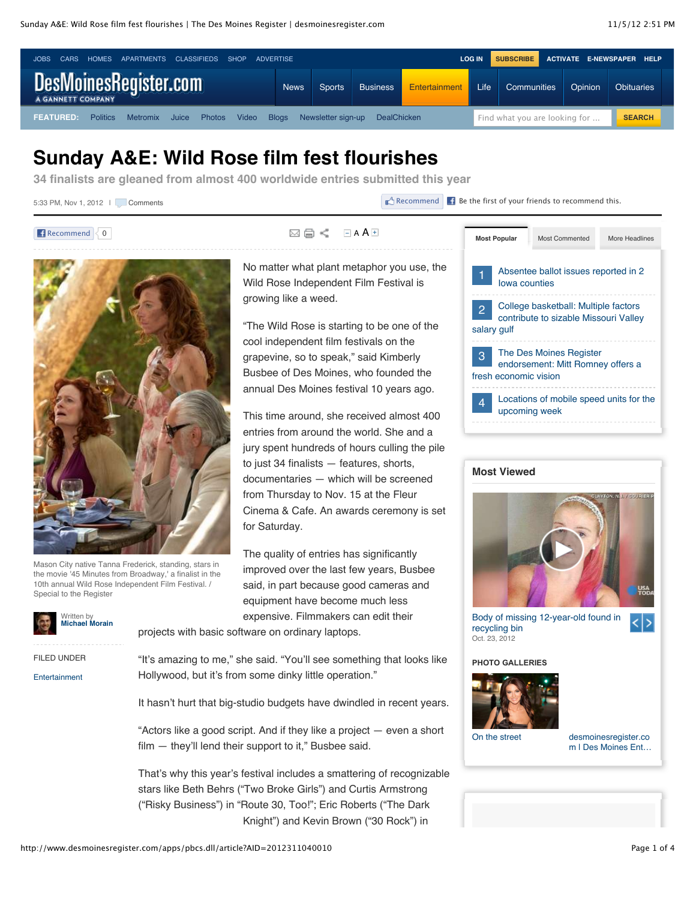

# **Sunday A&E: Wild Rose film fest flourishes**

**34 finalists are gleaned from almost 400 worldwide entries submitted this year**

```
5:33 PM, Nov 1, 2012 | Comments
```
 $\mathbb{L}$  Recommend **F** Be the first of your friends to recommend this.

 $R$  Recommend  $\sqrt[3]{0}$ 



Mason City native Tanna Frederick, standing, stars in the movie '45 Minutes from Broadway,' a finalist in the 10th annual Wild Rose Independent Film Festival. / Special to the Register

Written by **[Michael Morain](mailto:mmorain@dmreg.com)**

FILED UNDER

**[Entertainment](http://www.desmoinesregister.com/section/ENT)** 

No matter what plant metaphor you use, the Wild Rose Independent Film Festival is growing like a weed.

 $\boxtimes \boxplus \leq$   $\Box$  [A](javascript:void(null);) A  $\boxplus$ 

"The Wild Rose is starting to be one of the cool independent film festivals on the grapevine, so to speak," said Kimberly Busbee of Des Moines, who founded the annual Des Moines festival 10 years ago.

This time around, she received almost 400 entries from around the world. She and a jury spent hundreds of hours culling the pile to just 34 finalists — features, shorts, documentaries — which will be screened from Thursday to Nov. 15 at the Fleur Cinema & Cafe. An awards ceremony is set for Saturday.

The quality of entries has significantly improved over the last few years, Busbee said, in part because good cameras and equipment have become much less expensive. Filmmakers can edit their

projects with basic software on ordinary laptops.

"It's amazing to me," she said. "You'll see something that looks like Hollywood, but it's from some dinky little operation."

It hasn't hurt that big-studio budgets have dwindled in recent years.

"Actors like a good script. And if they like a project — even a short film — they'll lend their support to it," Busbee said.

That's why this year's festival includes a smattering of recognizable stars like Beth Behrs ("Two Broke Girls") and Curtis Armstrong ("Risky Business") in "Route 30, Too!"; Eric Roberts ("The Dark Knight") and Kevin Brown ("30 Rock") in



### **Most Viewed**



[Body of missing 12-year-old found in](http://www.desmoinesregister.com/videonetwork/1920061948001?odyssey=mod%7Ctvideo2%7Carticle) <|> recycling bin Oct. 23, 2012

#### **PHOTO GALLERIES**



[On the street](http://www.desmoinesregister.com/apps/pbcs.dll/gallery?Avis=D2&Dato=20120828&Kategori=JUICE01&Lopenr=308280117&Ref=PH&nclick_check=1) desmoinesregister.co [m | Des Moines Ent…](http://www.desmoinesregister.com/apps/pbcs.dll/gallery?Avis=D2&Dato=20121016&Kategori=ENTERTAINMENT&Lopenr=210160805&Ref=PH)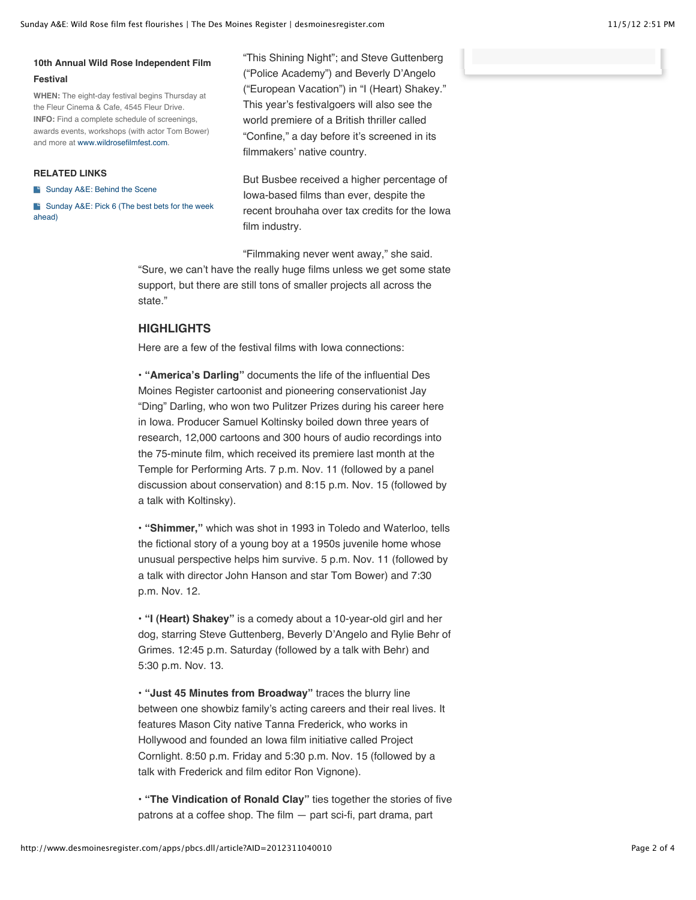#### **10th Annual Wild Rose Independent Film Festival**

**WHEN:** The eight-day festival begins Thursday at the Fleur Cinema & Cafe, 4545 Fleur Drive. **INFO:** Find a complete schedule of screenings, awards events, workshops (with actor Tom Bower) and more at www.wildrosefilmfest.com

#### **RELATED LINKS**

[Sunday A&E: Behind the Scene](http://www.desmoinesregister.com/article/20121104/ENT/311040012)

[Sunday A&E: Pick 6 \(The best bets for the week](http://www.desmoinesregister.com/article/20121104/ENT/311040011) ahead)

"This Shining Night"; and Steve Guttenberg ("Police Academy") and Beverly D'Angelo ("European Vacation") in "I (Heart) Shakey." This year's festivalgoers will also see the world premiere of a British thriller called "Confine," a day before it's screened in its filmmakers' native country.

But Busbee received a higher percentage of Iowa-based films than ever, despite the recent brouhaha over tax credits for the Iowa film industry.

"Filmmaking never went away," she said.

"Sure, we can't have the really huge films unless we get some state support, but there are still tons of smaller projects all across the state."

#### **HIGHLIGHTS**

Here are a few of the festival films with Iowa connections:

**• "America's Darling"** documents the life of the influential Des Moines Register cartoonist and pioneering conservationist Jay "Ding" Darling, who won two Pulitzer Prizes during his career here in Iowa. Producer Samuel Koltinsky boiled down three years of research, 12,000 cartoons and 300 hours of audio recordings into the 75-minute film, which received its premiere last month at the Temple for Performing Arts. 7 p.m. Nov. 11 (followed by a panel discussion about conservation) and 8:15 p.m. Nov. 15 (followed by a talk with Koltinsky).

**• "Shimmer,"** which was shot in 1993 in Toledo and Waterloo, tells the fictional story of a young boy at a 1950s juvenile home whose unusual perspective helps him survive. 5 p.m. Nov. 11 (followed by a talk with director John Hanson and star Tom Bower) and 7:30 p.m. Nov. 12.

**• "I (Heart) Shakey"** is a comedy about a 10-year-old girl and her dog, starring Steve Guttenberg, Beverly D'Angelo and Rylie Behr of Grimes. 12:45 p.m. Saturday (followed by a talk with Behr) and 5:30 p.m. Nov. 13.

**• "Just 45 Minutes from Broadway"** traces the blurry line between one showbiz family's acting careers and their real lives. It features Mason City native Tanna Frederick, who works in Hollywood and founded an Iowa film initiative called Project Cornlight. 8:50 p.m. Friday and 5:30 p.m. Nov. 15 (followed by a talk with Frederick and film editor Ron Vignone).

**• "The Vindication of Ronald Clay"** ties together the stories of five patrons at a coffee shop. The film — part sci-fi, part drama, part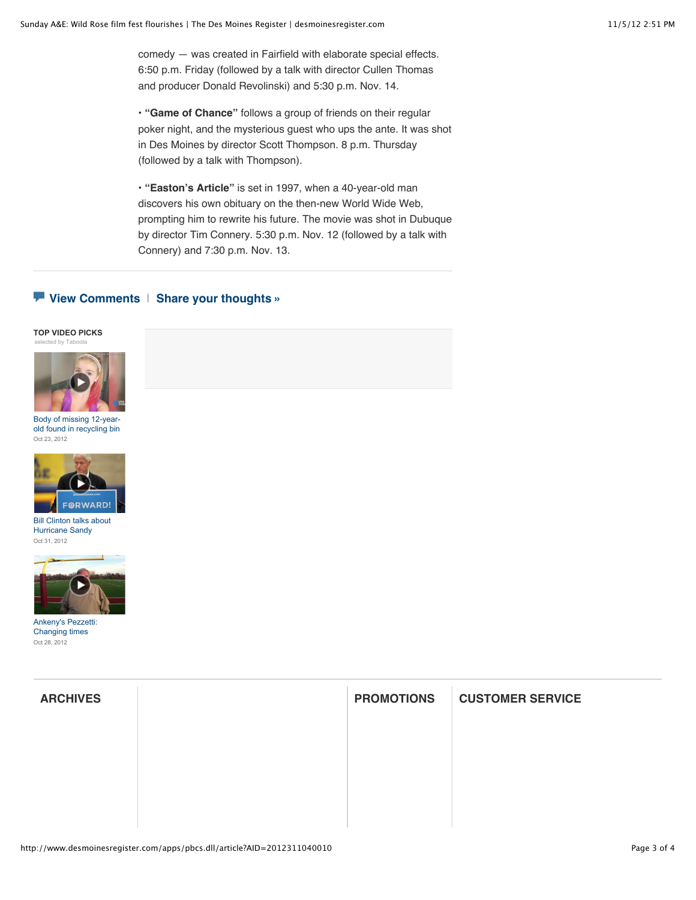comedy — was created in Fairfield with elaborate special effects. 6:50 p.m. Friday (followed by a talk with director Cullen Thomas and producer Donald Revolinski) and 5:30 p.m. Nov. 14.

**• "Game of Chance"** follows a group of friends on their regular poker night, and the mysterious guest who ups the ante. It was shot in Des Moines by director Scott Thompson. 8 p.m. Thursday (followed by a talk with Thompson).

**• "Easton's Article"** is set in 1997, when a 40-year-old man discovers his own obituary on the then-new World Wide Web, prompting him to rewrite his future. The movie was shot in Dubuque by director Tim Connery. 5:30 p.m. Nov. 12 (followed by a talk with Connery) and 7:30 p.m. Nov. 13.

## **[View Comments](http://www.desmoinesregister.com/comments/article/20121104/ENT/311040010/Sunday-E-Wild-Rose-film-fest-flourishes)** | **[Share your thoughts »](http://www.desmoinesregister.com/comments/article/20121104/ENT/311040010/Sunday-E-Wild-Rose-film-fest-flourishes)**

#### **TOP VIDEO PICKS**





[Body of missing 12-year](http://www.desmoinesregister.com/videonetwork/1920061948001?odyssey=mod%7Ctvideo%7Carticle)old found in recycling bin Oct 23, 2012



[Bill Clinton talks about](http://www.desmoinesregister.com/videonetwork/1937258330001?odyssey=mod%7Ctvideo%7Carticle) Hurricane Sandy Oct 31, 2012



[Ankeny's Pezzetti:](http://www.desmoinesregister.com/videonetwork/1930097325001?odyssey=mod%7Ctvideo%7Carticle) Changing times Oct 28, 2012

| <b>ARCHIVES</b> | <b>PROMOTIONS</b> | <b>CUSTOMER SERVICE</b> |
|-----------------|-------------------|-------------------------|
|                 |                   |                         |
|                 |                   |                         |
|                 |                   |                         |